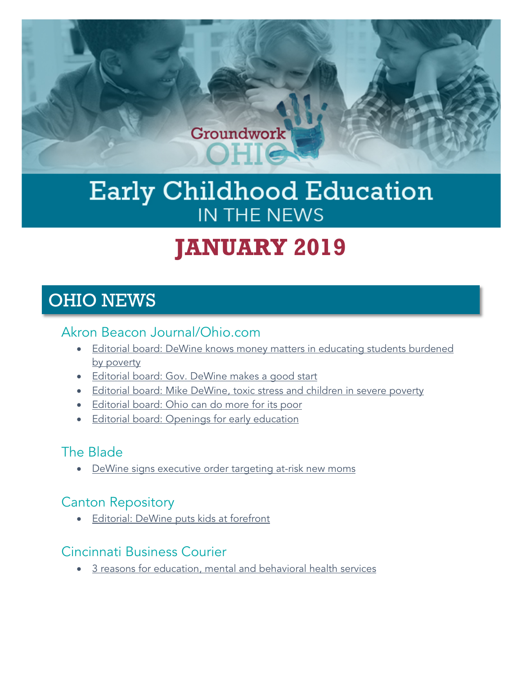

# Early Childhood Education IN THE NEWS

# **JANUARY 2019**

# OHIO NEWS

### Akron Beacon Journal/Ohio.com

- [Editorial board: DeWine knows money matters in educating students burdened](https://www.ohio.com/opinion/20190119/beacon-journalohiocom-editorial-board-dewine-knows-money-matters-in-educating-students-burdened-by-poverty)  [by poverty](https://www.ohio.com/opinion/20190119/beacon-journalohiocom-editorial-board-dewine-knows-money-matters-in-educating-students-burdened-by-poverty)
- [Editorial board: Gov. DeWine makes a good start](https://www.ohio.com/opinion/20190114/beacon-journalohiocom-editorial-board-gov-dewine-makes-good-start)
- [Editorial board: Mike DeWine, toxic stress and children in severe poverty](https://www.ohio.com/opinion/20190110/beacon-journalohiocom-editorial-board-mike-dewine-toxic-stress-and-children-in-severe-poverty)
- [Editorial board: Ohio can do more for its poor](https://www.ohio.com/opinion/20190122/beacon-journalohiocom-editorial-board-ohio-can-do-more-for-its-poor)
- [Editorial board: Openings for early education](https://www.ohio.com/opinion/20190129/beacon-journalohiocom-editorial-board-openings-for-early-education?mc_cid=bef35c751c&mc_eid=6d443f3602)

### The Blade

• [DeWine signs executive order targeting at-risk new moms](https://www.toledoblade.com/local/2019/01/15/gov-dewine-signs-executive-order-infant-mortality-initiative/stories/20190115151)

### Canton Repository

• [Editorial: DeWine puts kids at forefront](https://www.cantonrep.com/opinion/20190115/editorial-dewine-puts-kids-at-forefront)

### Cincinnati Business Courier

• [3 reasons for education, mental and behavioral health services](https://www.bizjournals.com/cincinnati/news/2019/01/15/3-reasons-for-education-mental-and-behavioral.html)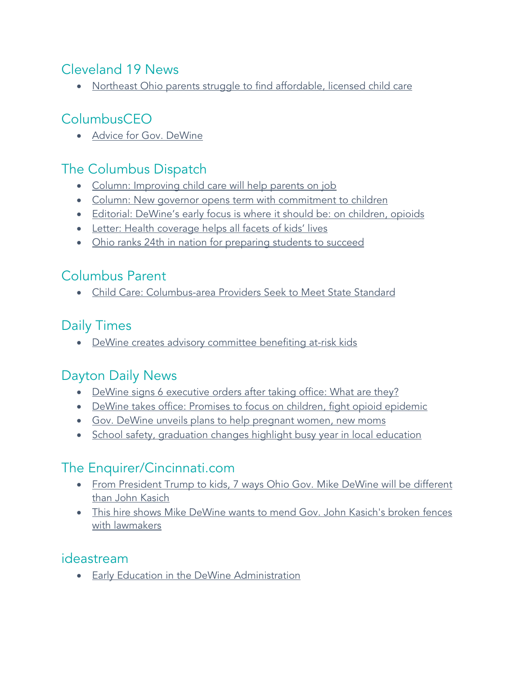### Cleveland 19 News

• [Northeast Ohio parents struggle to find affordable, licensed child care](http://www.cleveland19.com/2019/01/07/northeast-ohio-parents-struggle-find-affordable-licensed-child-care/?mc_cid=8771fa176e&mc_eid=6d443f3602)

# ColumbusCEO

• [Advice for Gov. DeWine](https://www.columbusceo.com/business/20190107/advice-for-gov-dewine)

### The Columbus Dispatch

- [Column: Improving child care will help parents on job](https://www.dispatch.com/opinion/20190129/column-improving-child-care-will-help-parents-on-job?mc_cid=79ba69b17b&mc_eid=6d443f3602)
- [Column: New governor opens term with commitment to children](https://www.dispatch.com/opinion/20190124/column-new-governor-opens-term-with-commitment-to-children?mc_cid=8322d3e2ea&mc_eid=6d443f3602)
- [Editorial: DeWine's early focus is where it should be: on children, opioids](https://www.dispatch.com/opinion/20190115/editorial-dewines-early-focus-is-where-it-should-be-on-children-opioids)
- [Letter: Health coverage helps all facets of kids' lives](https://www.dispatch.com/opinion/20190113/letter-health-coverage-helps-all-facets-of-kids-lives)
- [Ohio ranks 24th in nation for preparing students to succeed](https://www.dispatch.com/news/20190116/ohio-ranks-24th-in-nation-for-preparing-students-to-succeed)

### Columbus Parent

• [Child Care: Columbus-area Providers Seek to Meet State Standard](https://www.columbusparent.com/news/20190103/child-care-columbus-area-providers-seek-to-meet-state-standard?mc_cid=cef2e0f23c&mc_eid=6d443f3602)

### Daily Times

• [DeWine creates advisory committee benefiting at-risk kids](https://www.portsmouth-dailytimes.com/top-stories/34355/dewine-creates-advisory-committee-benefiting-at-risk-kids)

### Dayton Daily News

- [DeWine signs 6 executive orders after taking office: What are they?](https://www.daytondailynews.com/news/dewine-signs-executive-orders-after-taking-office-what-are-they/aoYBpTbii9lPfIdtdhr6FO/)
- [DeWine takes office: Promises to focus on children, fight opioid epidemic](https://www.daytondailynews.com/news/state--regional-govt--politics/dewine-takes-office-promises-focus-children-fight-opioid-epidemic/8Mag1sRJOkVywQ46869ZGN/)
- [Gov. DeWine unveils plans to help pregnant women, new moms](https://www.daytondailynews.com/news/state--regional/gov-dewine-unveils-plans-help-pregnant-women-new-moms/otgta7CtQ5EIJ8L0mMUhXP/)
- [School safety, graduation changes highlight busy year in local education](https://www.daytondailynews.com/news/school-safety-graduation-changes-highlight-busy-year-local-education/Cqhs6d59Ydj9fsCNWfG4kK/)

### The Enquirer/Cincinnati.com

- [From President Trump to kids, 7 ways Ohio Gov. Mike DeWine will be different](https://www.cincinnati.com/story/news/politics/2019/01/08/7-ways-ohio-gov-mike-dewine-different-governor-than-john-kasich/2463873002/)  [than John Kasich](https://www.cincinnati.com/story/news/politics/2019/01/08/7-ways-ohio-gov-mike-dewine-different-governor-than-john-kasich/2463873002/)
- [This hire shows Mike DeWine wants to mend Gov. John Kasich's broken fences](https://www.cincinnati.com/story/news/politics/2019/01/03/dewine-chooses-well-liked-lobbyist-lead-legislative-efforts/2473718002/)  [with lawmakers](https://www.cincinnati.com/story/news/politics/2019/01/03/dewine-chooses-well-liked-lobbyist-lead-legislative-efforts/2473718002/)

### ideastream

• [Early Education in the DeWine Administration](https://www.ideastream.org/programs/sound-of-ideas/early-education-in-the-dewine-administration-youth-podcast-making-our-own-stories)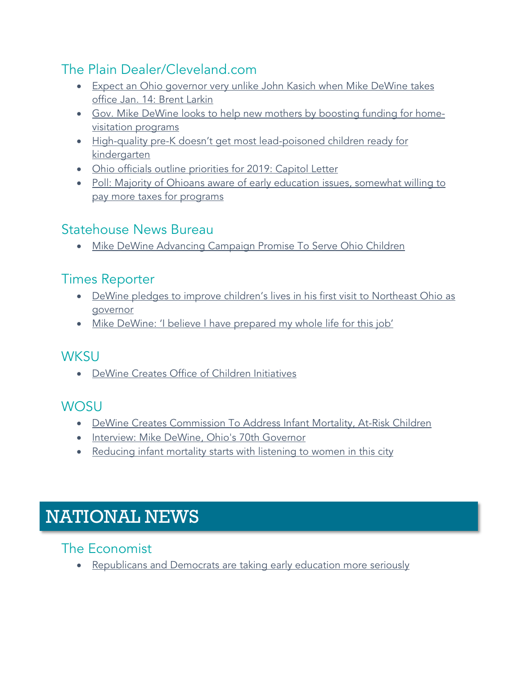## The Plain Dealer/Cleveland.com

- Expect an Ohio governor very unlike John Kasich when Mike DeWine takes [office Jan. 14: Brent Larkin](https://www.cleveland.com/opinion/2019/01/expect-an-ohio-governor-very-unlike-john-kasich-when-mike-dewine-takes-office-jan-14-brent-larkin.html)
- [Gov. Mike DeWine looks to help new mothers by boosting funding for home](https://www.cleveland.com/politics/2019/01/gov-mike-dewine-looks-to-help-new-mothers-by-boosting-funding-for-home-visitation-programs.html)[visitation programs](https://www.cleveland.com/politics/2019/01/gov-mike-dewine-looks-to-help-new-mothers-by-boosting-funding-for-home-visitation-programs.html)
- High-quality pre-K doesn't get most lead-poisoned children ready for [kindergarten](https://www.cleveland.com/metro/2019/01/high-quality-pre-k-doesnt-get-most-lead-poisoned-children-ready-for-kindergarten.html)
- [Ohio officials outline priorities for 2019: Capitol Letter](https://www.cleveland.com/open/2019/01/ohio-officials-outline-priorities-for-2019-capitol-letter.html)
- Poll: Majority of Ohioans aware of early education issues, somewhat willing to [pay more taxes for programs](https://www.cleveland.com/news/2019/01/poll-majority-of-ohioans-aware-of-early-education-issues-somewhat-willing-to-pay-more-taxes-for-programs.html)

# Statehouse News Bureau

• [Mike DeWine Advancing Campaign Promise To Serve Ohio Children](http://www.statenews.org/post/mike-dewine-advancing-campaign-promise-serve-ohio-children)

### Times Reporter

- DeWine pledges to improve children's lives in his first visit to Northeast Ohio as [governor](https://www.timesreporter.com/news/20190117/dewine-pledges-to-improve-childrens-lives-in-his-first-visit-to-northeast-ohio-as-governor/1)
- [Mike DeWine: 'I believe I have prepared my whole life for this job'](https://www.timesreporter.com/news/20190113/mike-dewine-i-believe-i-have-prepared-my-whole-life-for-this-job)

### **WKSU**

• [DeWine Creates Office of Children Initiatives](https://www.wksu.org/post/dewine-creates-office-children-initiatives#stream/0)

# **WOSU**

- [DeWine Creates Commission To Address Infant Mortality, At-Risk Children](http://radio.wosu.org/post/dewine-creates-commission-address-infant-mortality-risk-children#stream/0)
- [Interview: Mike DeWine, Ohio's 70th Governor](http://radio.wosu.org/post/interview-mike-dewine-ohios-70th-governor#stream/0)
- [Reducing infant mortality starts with listening to women in this city](https://www.pbs.org/newshour/show/reducing-infant-mortality-starts-with-listening-to-women-in-this-city)

# NATIONAL NEWS

### The Economist

• [Republicans and Democrats are taking early education more seriously](https://www.economist.com/united-states/2019/01/26/republicans-and-democrats-are-taking-early-education-more-seriously)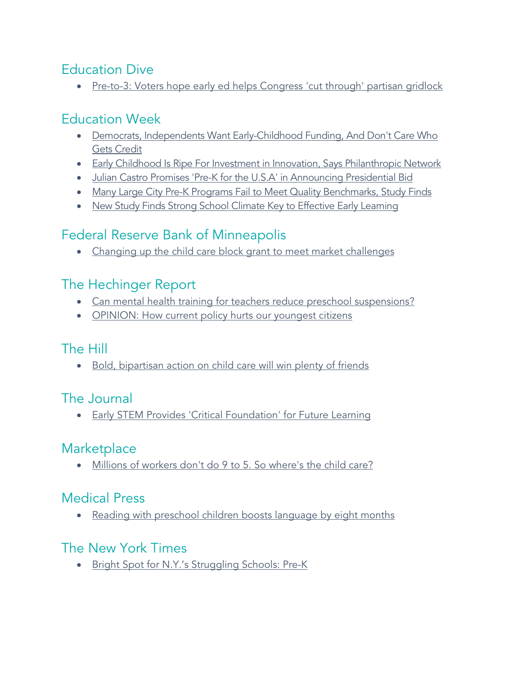### Education Dive

• [Pre-to-3: Voters hope early ed helps Congress 'cut through' partisan gridlock](https://www.educationdive.com/news/pre-to-3-voters-hope-early-ed-helps-congress-cut-through-partisan-gridlo/545580/?mc_cid=d006d2778f&mc_eid=6d443f3602)

# Education Week

- Democrats, Independents Want Early-Childhood Funding, And Don't Care Who [Gets Credit](https://blogs.edweek.org/edweek/early_years/2019/01/democrats_independents_want_early_childhood_funding_and_they_dont_care_who_gets_credit.html?mc_cid=79c71e2483&mc_eid=6d443f3602)
- [Early Childhood Is Ripe For Investment in Innovation, Says Philanthropic Network](http://blogs.edweek.org/edweek/early_years/2019/01/early_childhood_in_ripe_for_investment_in_innovation_says_philanthropic_network.html?cmp=eml-enl-eu-news3&M=58719183&U=2633475&UUID=c56328f37ecbb28c29f629791f1fec8c)
- [Julian Castro Promises 'Pre-K for the U.S.A' in Announcing Presidential Bid](http://blogs.edweek.org/edweek/campaign-k-12/2019/01/castro-gabbard-pre-K-president-Democratic.html?cmp=eml-enl-eu-news3&M=58722125&U=2633475&UUID=c56328f37ecbb28c29f629791f1fec8c)
- [Many Large City Pre-K Programs Fail to Meet Quality Benchmarks, Study Finds](http://blogs.edweek.org/edweek/early_years/2019/01/many_large_city_pre-k_programs_fail_to_meet_quality_benchmarks_study_finds.html?cmp=eml-enl-eu-news3&M=58729994&U=2633475&UUID=c56328f37ecbb28c29f629791f1fec8c)
- [New Study Finds Strong School Climate Key to Effective Early Learning](http://blogs.edweek.org/edweek/early_years/2019/01/new_study_finds_strong_school_climate_key_to_effective_early_learning.html?mc_cid=ff1dbb305f&mc_eid=6d443f3602)

## Federal Reserve Bank of Minneapolis

• [Changing up the child care block grant to meet market challenges](https://www.minneapolisfed.org/publications/community-dividend/changing-up-the-child-care-block-grant-to-meet-market-challenges?mc_cid=79c71e2483&mc_eid=6d443f3602)

### The Hechinger Report

- [Can mental health training for teachers reduce preschool suspensions?](https://hechingerreport.org/california-adopts-a-new-model-to-curb-preschool-suspensions/)
- [OPINION: How current policy hurts our youngest citizens](https://hechingerreport.org/opinion-how-current-policy-hurts-our-youngest-citizens/?mc_cid=ff1dbb305f&mc_eid=6d443f3602)

### The Hill

• [Bold, bipartisan action on child care will win plenty of friends](https://thehill.com/opinion/white-house/425236-bold-bipartisan-action-on-child-care-will-win-plenty-of-friends?mc_cid=3fd48c7dba&mc_eid=6d443f3602)

# The Journal

• [Early STEM Provides 'Critical Foundation' for Future Learning](https://thejournal.com/articles/2019/01/07/early-stem-provides-critical-foundation-for-future-learning.aspx?mc_cid=8771fa176e&mc_eid=6d443f3602)

### **Marketplace**

• [Millions of workers don't do 9 to 5. So where's the child care?](https://www.marketplace.org/2019/01/14/wealth-poverty/247-work-schedules-comes-247-childcare?mc_cid=3fd48c7dba&mc_eid=6d443f3602)

# Medical Press

• [Reading with preschool children boosts language by eight months](https://medicalxpress.com/news/2019-01-preschool-children-boosts-language-months.html?mc_cid=133c6d6685&mc_eid=6d443f3602)

### The New York Times

• [Bright Spot for N.Y.'s Struggling Schools: Pre-K](https://www.nytimes.com/2019/01/01/nyregion/deblasio-pre-k-program-nyc.html)